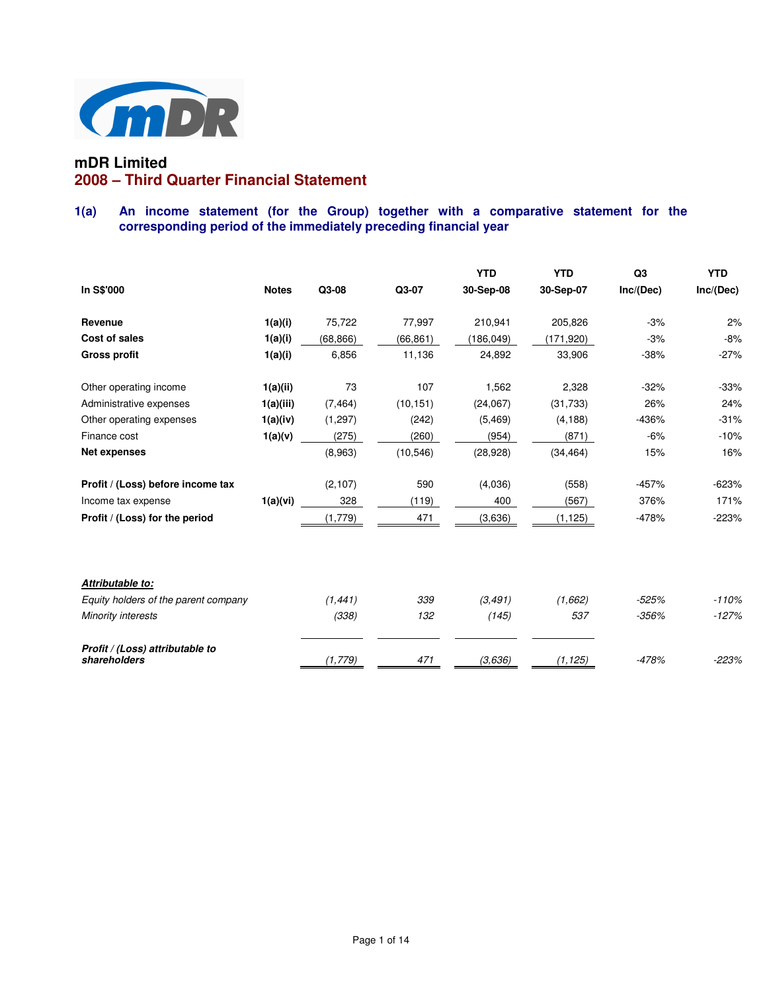

# **mDR Limited 2008 – Third Quarter Financial Statement**

# **1(a) An income statement (for the Group) together with a comparative statement for the corresponding period of the immediately preceding financial year**

|                                                 |              |           |           | <b>YTD</b> | <b>YTD</b> | Q <sub>3</sub> | <b>YTD</b> |
|-------------------------------------------------|--------------|-----------|-----------|------------|------------|----------------|------------|
| In S\$'000                                      | <b>Notes</b> | Q3-08     | Q3-07     | 30-Sep-08  | 30-Sep-07  | Inc/(Dec)      | Inc/(Dec)  |
| Revenue                                         | 1(a)(i)      | 75,722    | 77,997    | 210,941    | 205,826    | $-3%$          | 2%         |
| Cost of sales                                   | 1(a)(i)      | (68, 866) | (66, 861) | (186,049)  | (171,920)  | $-3%$          | $-8%$      |
| <b>Gross profit</b>                             | 1(a)(i)      | 6,856     | 11,136    | 24,892     | 33,906     | $-38%$         | $-27%$     |
| Other operating income                          | 1(a)(ii)     | 73        | 107       | 1,562      | 2,328      | $-32%$         | $-33%$     |
| Administrative expenses                         | 1(a)(iii)    | (7, 464)  | (10, 151) | (24,067)   | (31, 733)  | 26%            | 24%        |
| Other operating expenses                        | 1(a)(iv)     | (1,297)   | (242)     | (5, 469)   | (4, 188)   | $-436%$        | $-31%$     |
| Finance cost                                    | 1(a)(v)      | (275)     | (260)     | (954)      | (871)      | $-6%$          | $-10%$     |
| <b>Net expenses</b>                             |              | (8,963)   | (10, 546) | (28, 928)  | (34, 464)  | 15%            | 16%        |
| Profit / (Loss) before income tax               |              | (2, 107)  | 590       | (4,036)    | (558)      | $-457%$        | $-623%$    |
| Income tax expense                              | 1(a)(vi)     | 328       | (119)     | 400        | (567)      | 376%           | 171%       |
| Profit / (Loss) for the period                  |              | (1,779)   | 471       | (3,636)    | (1, 125)   | $-478%$        | $-223%$    |
|                                                 |              |           |           |            |            |                |            |
| Attributable to:                                |              |           |           |            |            |                |            |
| Equity holders of the parent company            |              | (1, 441)  | 339       | (3, 491)   | (1,662)    | $-525%$        | $-110%$    |
| Minority interests                              |              | (338)     | 132       | (145)      | 537        | $-356%$        | $-127%$    |
| Profit / (Loss) attributable to<br>shareholders |              | (1, 779)  | 471       | (3,636)    | (1, 125)   | $-478%$        | $-223%$    |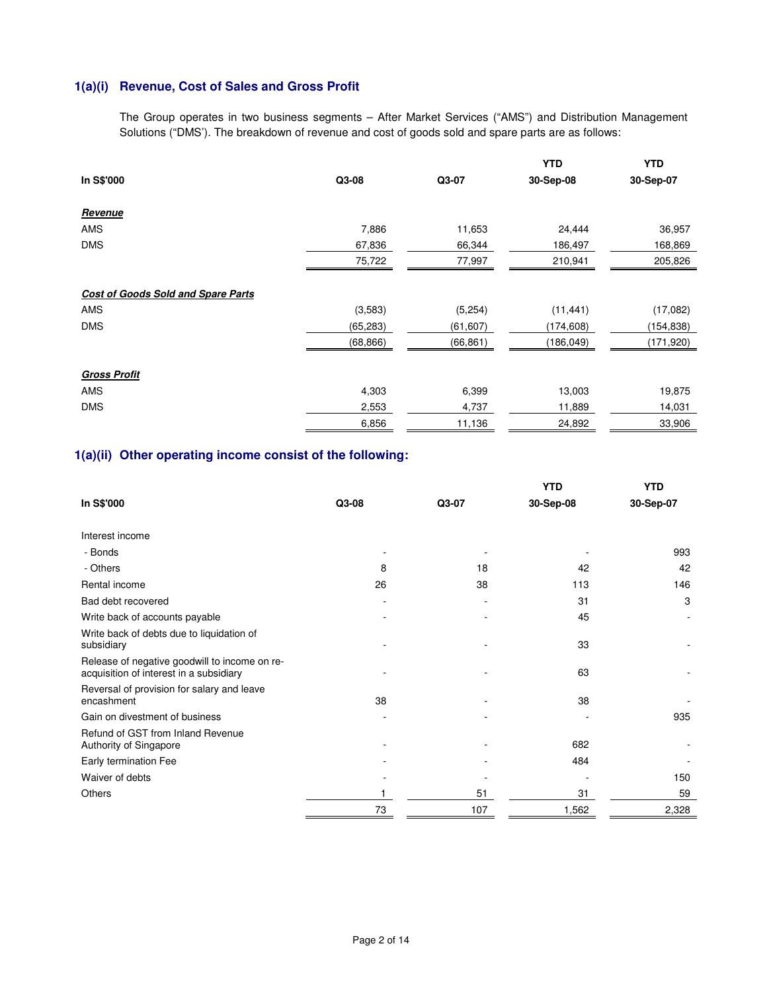# **1(a)(i) Revenue, Cost of Sales and Gross Profit**

The Group operates in two business segments – After Market Services ("AMS") and Distribution Management Solutions ("DMS'). The breakdown of revenue and cost of goods sold and spare parts are as follows:

|                                           |           |          | <b>YTD</b> | <b>YTD</b> |
|-------------------------------------------|-----------|----------|------------|------------|
| In S\$'000                                | Q3-08     | Q3-07    | 30-Sep-08  | 30-Sep-07  |
| Revenue                                   |           |          |            |            |
| AMS                                       | 7,886     | 11,653   | 24,444     | 36,957     |
| <b>DMS</b>                                | 67,836    | 66,344   | 186,497    | 168,869    |
|                                           | 75,722    | 77,997   | 210,941    | 205,826    |
| <b>Cost of Goods Sold and Spare Parts</b> |           |          |            |            |
| <b>AMS</b>                                | (3,583)   | (5, 254) | (11, 441)  | (17,082)   |
| <b>DMS</b>                                | (65, 283) | (61,607) | (174, 608) | (154,838)  |
|                                           | (68, 866) | (66,861) | (186,049)  | (171,920)  |
| <b>Gross Profit</b>                       |           |          |            |            |
| <b>AMS</b>                                | 4,303     | 6,399    | 13,003     | 19,875     |
| <b>DMS</b>                                | 2,553     | 4,737    | 11,889     | 14,031     |
|                                           | 6,856     | 11,136   | 24,892     | 33,906     |

# **1(a)(ii) Other operating income consist of the following:**

|                                                                                          |       |       | <b>YTD</b> | YTD       |
|------------------------------------------------------------------------------------------|-------|-------|------------|-----------|
| In S\$'000                                                                               | Q3-08 | Q3-07 | 30-Sep-08  | 30-Sep-07 |
| Interest income                                                                          |       |       |            |           |
| - Bonds                                                                                  |       |       |            | 993       |
| - Others                                                                                 | 8     | 18    | 42         | 42        |
| Rental income                                                                            | 26    | 38    | 113        | 146       |
| Bad debt recovered                                                                       |       | ٠     | 31         | 3         |
| Write back of accounts payable                                                           |       |       | 45         |           |
| Write back of debts due to liquidation of<br>subsidiary                                  |       |       | 33         |           |
| Release of negative goodwill to income on re-<br>acquisition of interest in a subsidiary |       |       | 63         |           |
| Reversal of provision for salary and leave<br>encashment                                 | 38    |       | 38         |           |
| Gain on divestment of business                                                           |       |       |            | 935       |
| Refund of GST from Inland Revenue<br>Authority of Singapore                              |       |       | 682        |           |
| Early termination Fee                                                                    |       |       | 484        |           |
| Waiver of debts                                                                          |       |       |            | 150       |
| Others                                                                                   |       | 51    | 31         | 59        |
|                                                                                          | 73    | 107   | 1,562      | 2,328     |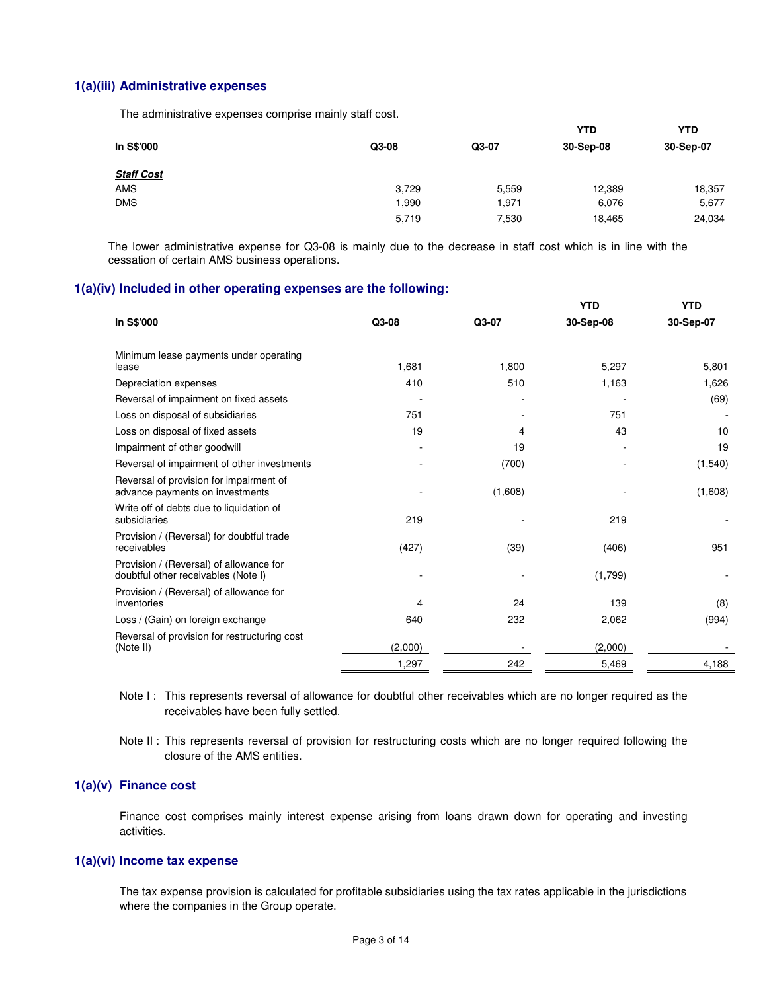## **1(a)(iii) Administrative expenses**

The administrative expenses comprise mainly staff cost.

|                   |       |        | YTD       | <b>YTD</b> |
|-------------------|-------|--------|-----------|------------|
| In S\$'000        | Q3-08 | Q3-07  | 30-Sep-08 | 30-Sep-07  |
| <b>Staff Cost</b> |       |        |           |            |
| <b>AMS</b>        | 3,729 | 5,559  | 12,389    | 18,357     |
| <b>DMS</b>        | ,990  | 971, ا | 6,076     | 5,677      |
|                   | 5,719 | 7,530  | 18,465    | 24,034     |

 The lower administrative expense for Q3-08 is mainly due to the decrease in staff cost which is in line with the cessation of certain AMS business operations.

# **1(a)(iv) Included in other operating expenses are the following:**

|                                                                                |         |         | <b>YTD</b> | <b>YTD</b> |
|--------------------------------------------------------------------------------|---------|---------|------------|------------|
| In S\$'000                                                                     | Q3-08   | Q3-07   | 30-Sep-08  | 30-Sep-07  |
| Minimum lease payments under operating                                         |         |         |            |            |
| lease                                                                          | 1,681   | 1,800   | 5,297      | 5,801      |
| Depreciation expenses                                                          | 410     | 510     | 1,163      | 1,626      |
| Reversal of impairment on fixed assets                                         |         |         |            | (69)       |
| Loss on disposal of subsidiaries                                               | 751     |         | 751        |            |
| Loss on disposal of fixed assets                                               | 19      | 4       | 43         | 10         |
| Impairment of other goodwill                                                   |         | 19      |            | 19         |
| Reversal of impairment of other investments                                    |         | (700)   |            | (1, 540)   |
| Reversal of provision for impairment of<br>advance payments on investments     |         | (1,608) |            | (1,608)    |
| Write off of debts due to liquidation of<br>subsidiaries                       | 219     |         | 219        |            |
| Provision / (Reversal) for doubtful trade<br>receivables                       | (427)   | (39)    | (406)      | 951        |
| Provision / (Reversal) of allowance for<br>doubtful other receivables (Note I) |         |         | (1,799)    |            |
| Provision / (Reversal) of allowance for<br>inventories                         | 4       | 24      | 139        | (8)        |
| Loss / (Gain) on foreign exchange                                              | 640     | 232     | 2,062      | (994)      |
| Reversal of provision for restructuring cost                                   |         |         |            |            |
| (Note II)                                                                      | (2,000) |         | (2,000)    |            |
|                                                                                | 1,297   | 242     | 5,469      | 4,188      |

- Note I: This represents reversal of allowance for doubtful other receivables which are no longer required as the receivables have been fully settled.
- Note II : This represents reversal of provision for restructuring costs which are no longer required following the closure of the AMS entities.

## **1(a)(v) Finance cost**

Finance cost comprises mainly interest expense arising from loans drawn down for operating and investing activities.

## **1(a)(vi) Income tax expense**

The tax expense provision is calculated for profitable subsidiaries using the tax rates applicable in the jurisdictions where the companies in the Group operate.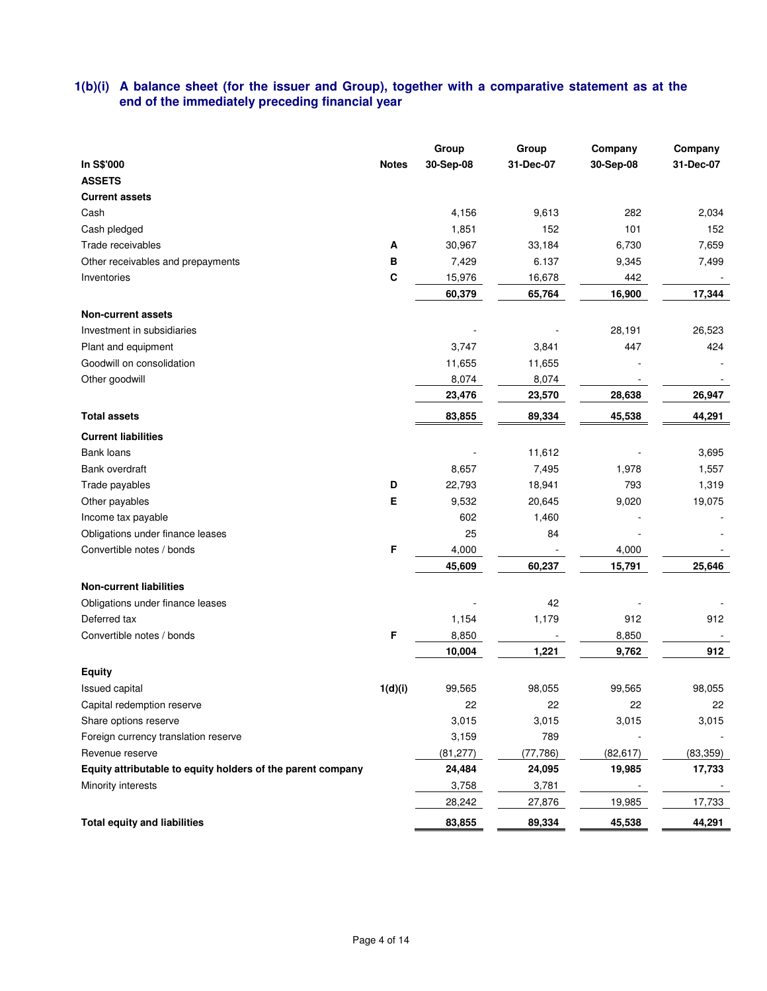# **1(b)(i) A balance sheet (for the issuer and Group), together with a comparative statement as at the end of the immediately preceding financial year**

|                                                             |              | Group     | Group     | Company   | Company   |
|-------------------------------------------------------------|--------------|-----------|-----------|-----------|-----------|
| In S\$'000                                                  | <b>Notes</b> | 30-Sep-08 | 31-Dec-07 | 30-Sep-08 | 31-Dec-07 |
| <b>ASSETS</b>                                               |              |           |           |           |           |
| <b>Current assets</b>                                       |              |           |           |           |           |
| Cash                                                        |              | 4,156     | 9,613     | 282       | 2,034     |
| Cash pledged                                                |              | 1,851     | 152       | 101       | 152       |
| Trade receivables                                           | A            | 30,967    | 33,184    | 6,730     | 7,659     |
| Other receivables and prepayments                           | B            | 7,429     | 6.137     | 9,345     | 7,499     |
| Inventories                                                 | $\mathbf{C}$ | 15,976    | 16,678    | 442       |           |
|                                                             |              | 60,379    | 65,764    | 16,900    | 17,344    |
| <b>Non-current assets</b>                                   |              |           |           |           |           |
| Investment in subsidiaries                                  |              |           |           | 28,191    | 26,523    |
| Plant and equipment                                         |              | 3,747     | 3,841     | 447       | 424       |
| Goodwill on consolidation                                   |              | 11,655    | 11,655    |           |           |
| Other goodwill                                              |              | 8,074     | 8,074     |           |           |
|                                                             |              | 23,476    | 23,570    | 28,638    | 26,947    |
| <b>Total assets</b>                                         |              | 83,855    | 89,334    | 45,538    | 44,291    |
| <b>Current liabilities</b>                                  |              |           |           |           |           |
| Bank loans                                                  |              |           | 11,612    |           | 3,695     |
| Bank overdraft                                              |              | 8,657     | 7,495     | 1,978     | 1,557     |
| Trade payables                                              | D            | 22,793    | 18,941    | 793       | 1,319     |
| Other payables                                              | Е            | 9,532     | 20,645    | 9,020     | 19,075    |
| Income tax payable                                          |              | 602       | 1,460     |           |           |
| Obligations under finance leases                            |              | 25        | 84        |           |           |
| Convertible notes / bonds                                   | F            | 4,000     |           | 4,000     |           |
|                                                             |              | 45,609    | 60,237    | 15,791    | 25,646    |
| <b>Non-current liabilities</b>                              |              |           |           |           |           |
| Obligations under finance leases                            |              |           | 42        |           |           |
| Deferred tax                                                |              | 1,154     | 1,179     | 912       | 912       |
| Convertible notes / bonds                                   | F            | 8,850     |           | 8,850     |           |
|                                                             |              | 10,004    | 1,221     | 9,762     | 912       |
| <b>Equity</b>                                               |              |           |           |           |           |
| Issued capital                                              | 1(d)(i)      | 99,565    | 98,055    | 99,565    | 98,055    |
| Capital redemption reserve                                  |              | 22        | 22        | 22        | 22        |
| Share options reserve                                       |              | 3,015     | 3,015     | 3,015     | 3,015     |
| Foreign currency translation reserve                        |              | 3,159     | 789       |           |           |
| Revenue reserve                                             |              | (81, 277) | (77, 786) | (82, 617) | (83, 359) |
| Equity attributable to equity holders of the parent company |              | 24,484    | 24,095    | 19,985    | 17,733    |
| Minority interests                                          |              | 3,758     | 3,781     |           |           |
|                                                             |              | 28,242    | 27,876    | 19,985    | 17,733    |
| <b>Total equity and liabilities</b>                         |              | 83,855    | 89,334    | 45,538    | 44,291    |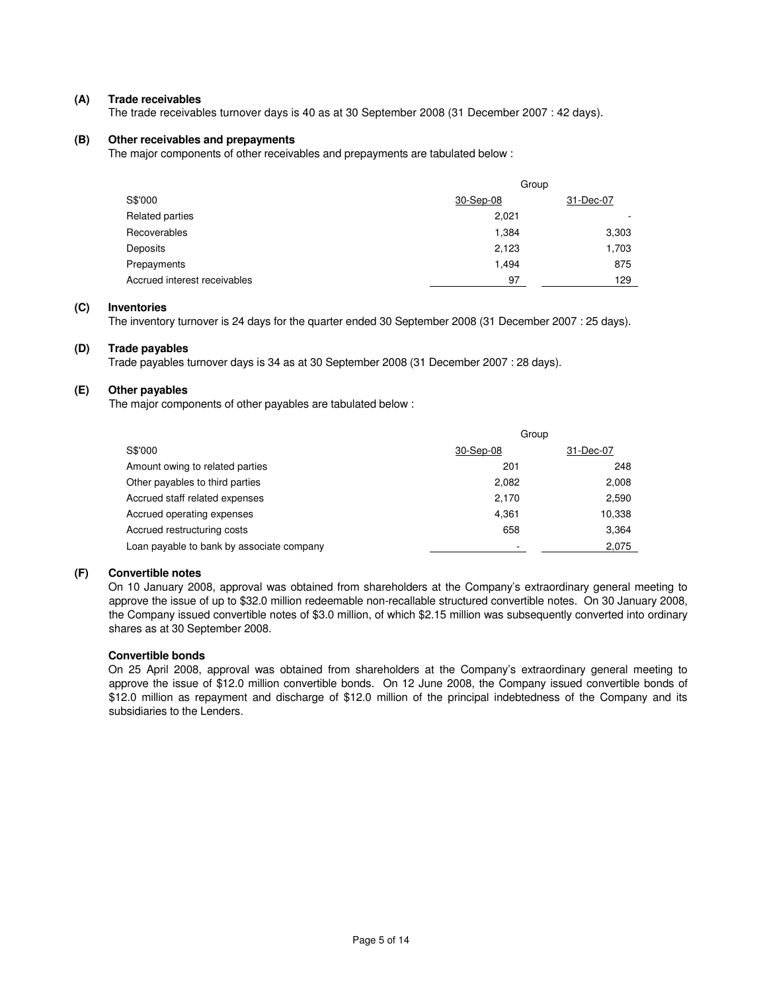### **(A) Trade receivables**

The trade receivables turnover days is 40 as at 30 September 2008 (31 December 2007 : 42 days).

## **(B) Other receivables and prepayments**

The major components of other receivables and prepayments are tabulated below :

|                              | Group     |           |
|------------------------------|-----------|-----------|
| S\$'000                      | 30-Sep-08 | 31-Dec-07 |
| Related parties              | 2,021     |           |
| Recoverables                 | 1,384     | 3,303     |
| Deposits                     | 2,123     | 1,703     |
| Prepayments                  | 1.494     | 875       |
| Accrued interest receivables | 97        | 129       |

# **(C) Inventories**

The inventory turnover is 24 days for the quarter ended 30 September 2008 (31 December 2007 : 25 days).

### **(D) Trade payables**

Trade payables turnover days is 34 as at 30 September 2008 (31 December 2007 : 28 days).

## **(E) Other payables**

The major components of other payables are tabulated below :

| Group     |           |
|-----------|-----------|
| 30-Sep-08 | 31-Dec-07 |
| 201       | 248       |
| 2,082     | 2,008     |
| 2,170     | 2,590     |
| 4,361     | 10,338    |
| 658       | 3,364     |
|           | 2,075     |
|           |           |

#### **(F) Convertible notes**

 On 10 January 2008, approval was obtained from shareholders at the Company's extraordinary general meeting to approve the issue of up to \$32.0 million redeemable non-recallable structured convertible notes. On 30 January 2008, the Company issued convertible notes of \$3.0 million, of which \$2.15 million was subsequently converted into ordinary shares as at 30 September 2008.

## **Convertible bonds**

 On 25 April 2008, approval was obtained from shareholders at the Company's extraordinary general meeting to approve the issue of \$12.0 million convertible bonds. On 12 June 2008, the Company issued convertible bonds of \$12.0 million as repayment and discharge of \$12.0 million of the principal indebtedness of the Company and its subsidiaries to the Lenders.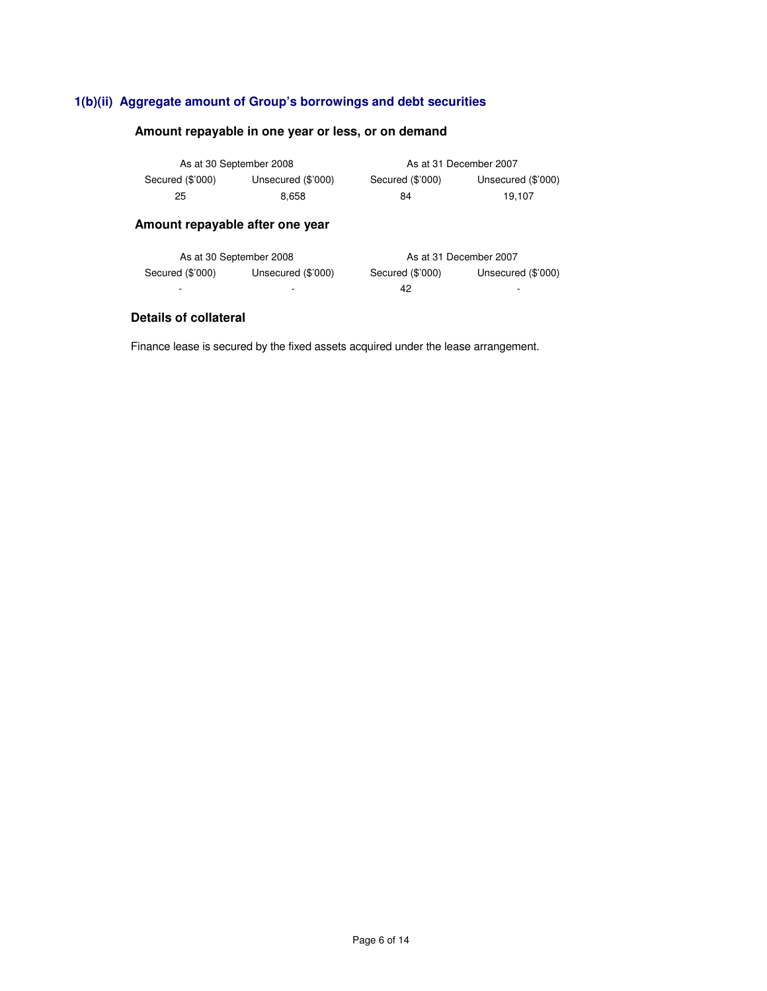# **1(b)(ii) Aggregate amount of Group's borrowings and debt securities**

# **Amount repayable in one year or less, or on demand**

| As at 30 September 2008 |                    |                  | As at 31 December 2007 |
|-------------------------|--------------------|------------------|------------------------|
| Secured (\$'000)        | Unsecured (\$'000) | Secured (\$'000) | Unsecured (\$'000)     |
| 25                      | 8.658              | 84               | 19.107                 |

# **Amount repayable after one year**

| As at 30 September 2008 |                    |                  | As at 31 December 2007 |
|-------------------------|--------------------|------------------|------------------------|
| Secured (\$'000)        | Unsecured (\$'000) | Secured (\$'000) | Unsecured (\$'000)     |
|                         |                    | 42               |                        |

# **Details of collateral**

Finance lease is secured by the fixed assets acquired under the lease arrangement.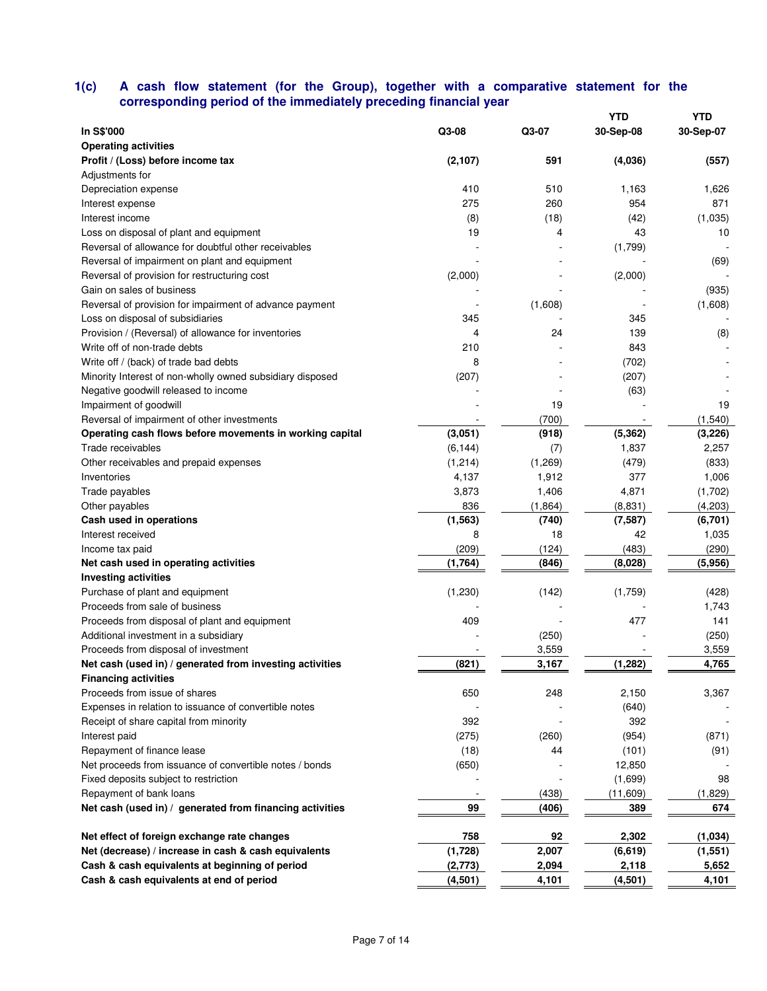## **1(c) A cash flow statement (for the Group), together with a comparative statement for the corresponding period of the immediately preceding financial year**

|                                                           |          |         | <b>YTD</b> | YTD       |
|-----------------------------------------------------------|----------|---------|------------|-----------|
| In S\$'000                                                | Q3-08    | Q3-07   | 30-Sep-08  | 30-Sep-07 |
| <b>Operating activities</b>                               |          |         |            |           |
| Profit / (Loss) before income tax                         | (2, 107) | 591     | (4,036)    | (557)     |
| Adjustments for                                           |          |         |            |           |
| Depreciation expense                                      | 410      | 510     | 1,163      | 1,626     |
| Interest expense                                          | 275      | 260     | 954        | 871       |
| Interest income                                           | (8)      | (18)    | (42)       | (1,035)   |
| Loss on disposal of plant and equipment                   | 19       | 4       | 43         | 10        |
| Reversal of allowance for doubtful other receivables      |          |         | (1,799)    |           |
| Reversal of impairment on plant and equipment             |          |         |            | (69)      |
| Reversal of provision for restructuring cost              | (2,000)  |         | (2,000)    |           |
| Gain on sales of business                                 |          |         |            | (935)     |
| Reversal of provision for impairment of advance payment   |          | (1,608) |            | (1,608)   |
| Loss on disposal of subsidiaries                          | 345      |         | 345        |           |
| Provision / (Reversal) of allowance for inventories       | 4        | 24      | 139        | (8)       |
| Write off of non-trade debts                              | 210      |         | 843        |           |
| Write off / (back) of trade bad debts                     | 8        |         | (702)      |           |
| Minority Interest of non-wholly owned subsidiary disposed | (207)    |         | (207)      |           |
| Negative goodwill released to income                      |          |         | (63)       |           |
| Impairment of goodwill                                    |          | 19      |            | 19        |
| Reversal of impairment of other investments               |          | (700)   |            | (1, 540)  |
| Operating cash flows before movements in working capital  | (3,051)  | (918)   | (5, 362)   | (3, 226)  |
| Trade receivables                                         | (6, 144) | (7)     | 1,837      | 2,257     |
| Other receivables and prepaid expenses                    | (1,214)  | (1,269) | (479)      | (833)     |
| Inventories                                               | 4,137    | 1,912   | 377        | 1,006     |
| Trade payables                                            | 3,873    | 1,406   | 4,871      | (1,702)   |
| Other payables                                            | 836      | (1,864) | (8,831)    | (4,203)   |
| Cash used in operations                                   | (1, 563) | (740)   | (7, 587)   | (6,701)   |
| Interest received                                         | 8        | 18      | 42         | 1,035     |
| Income tax paid                                           | (209)    | (124)   | (483)      | (290)     |
| Net cash used in operating activities                     | (1,764)  | (846)   | (8,028)    | (5,956)   |
| <b>Investing activities</b>                               |          |         |            |           |
| Purchase of plant and equipment                           | (1,230)  | (142)   | (1,759)    | (428)     |
| Proceeds from sale of business                            |          |         |            | 1,743     |
| Proceeds from disposal of plant and equipment             | 409      |         | 477        | 141       |
| Additional investment in a subsidiary                     |          | (250)   |            | (250)     |
| Proceeds from disposal of investment                      |          | 3,559   |            | 3,559     |
| Net cash (used in) / generated from investing activities  | (821)    | 3,167   | (1, 282)   | 4,765     |
| <b>Financing activities</b>                               |          |         |            |           |
| Proceeds from issue of shares                             | 650      | 248     | 2,150      | 3,367     |
| Expenses in relation to issuance of convertible notes     |          |         | (640)      |           |
|                                                           | 392      |         | 392        |           |
| Receipt of share capital from minority                    |          |         |            | (871)     |
| Interest paid                                             | (275)    | (260)   | (954)      |           |
| Repayment of finance lease                                | (18)     | 44      | (101)      | (91)      |
| Net proceeds from issuance of convertible notes / bonds   | (650)    |         | 12,850     |           |
| Fixed deposits subject to restriction                     |          |         | (1,699)    | 98        |
| Repayment of bank loans                                   |          | (438)   | (11,609)   | (1,829)   |
| Net cash (used in) / generated from financing activities  | 99       | (406)   | 389        | 674       |
| Net effect of foreign exchange rate changes               | 758      | 92      | 2,302      | (1,034)   |
| Net (decrease) / increase in cash & cash equivalents      | (1,728)  | 2,007   | (6, 619)   | (1, 551)  |
| Cash & cash equivalents at beginning of period            | (2,773)  | 2,094   | 2,118      | 5,652     |
| Cash & cash equivalents at end of period                  | (4, 501) | 4,101   | (4,501)    | 4,101     |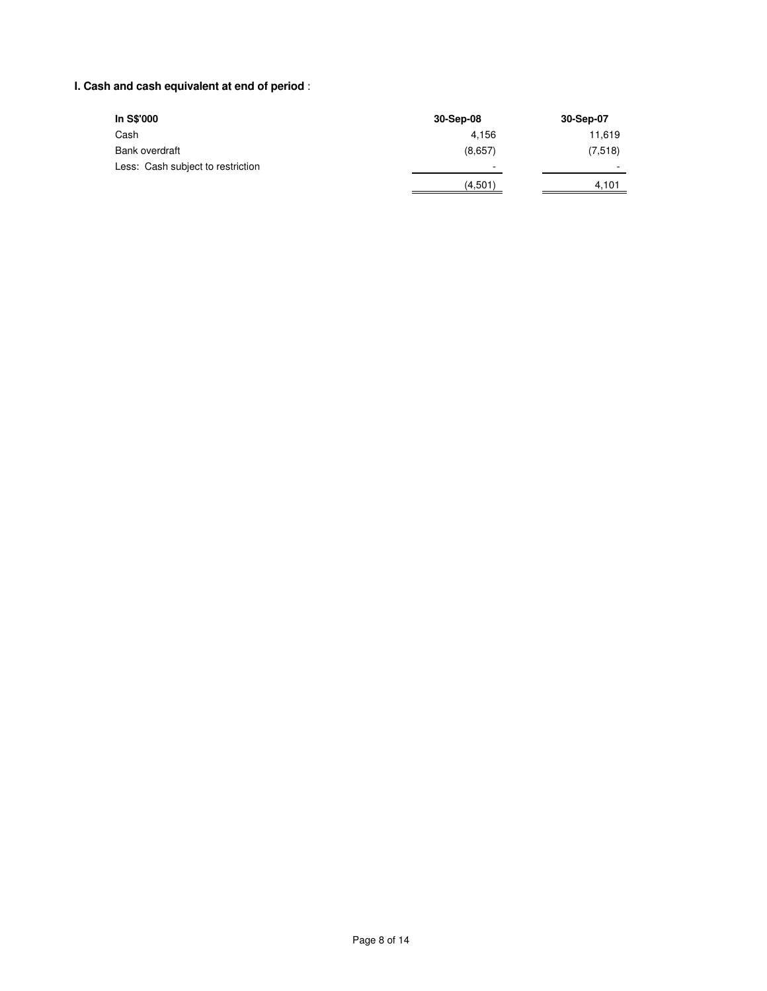# **I. Cash and cash equivalent at end of period** :

| In S\$'000                        | 30-Sep-08 | 30-Sep-07 |
|-----------------------------------|-----------|-----------|
| Cash                              | 4.156     | 11,619    |
| Bank overdraft                    | (8,657)   | (7,518)   |
| Less: Cash subject to restriction |           |           |
|                                   | (4,501)   | 4.101     |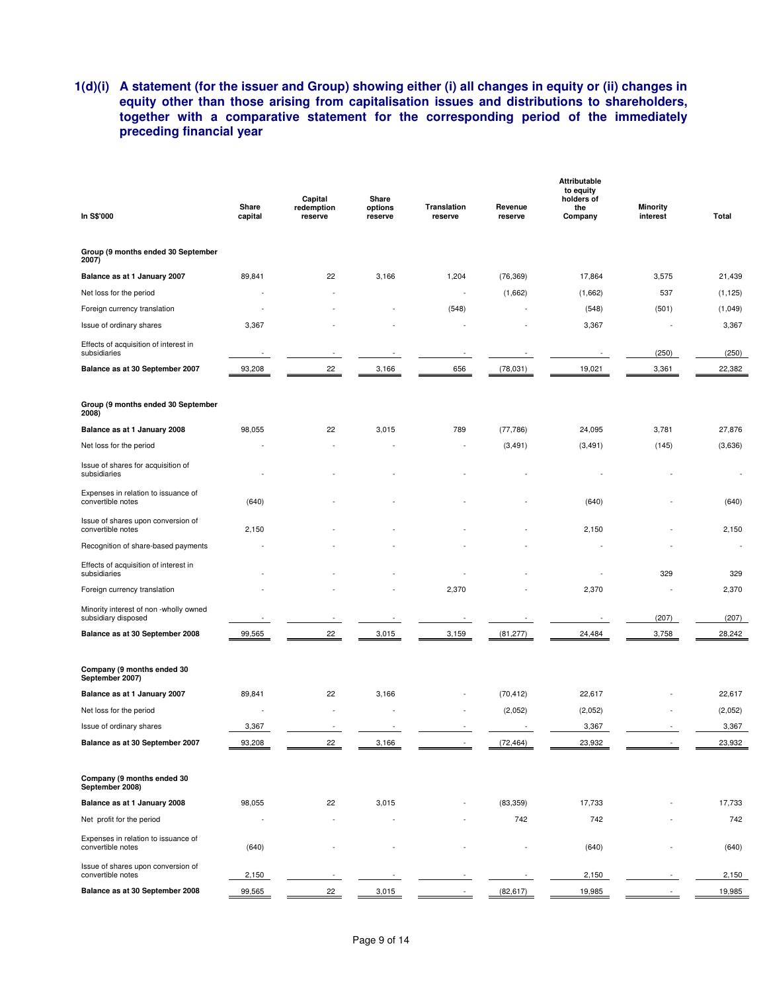# **1(d)(i) A statement (for the issuer and Group) showing either (i) all changes in equity or (ii) changes in equity other than those arising from capitalisation issues and distributions to shareholders, together with a comparative statement for the corresponding period of the immediately preceding financial year**

| In S\$'000                                                    | Share<br>capital | Capital<br>redemption<br>reserve | Share<br>options<br>reserve | <b>Translation</b><br>reserve | Revenue<br>reserve | <b>Attributable</b><br>to equity<br>holders of<br>the<br>Company | <b>Minority</b><br>interest | Total    |
|---------------------------------------------------------------|------------------|----------------------------------|-----------------------------|-------------------------------|--------------------|------------------------------------------------------------------|-----------------------------|----------|
| Group (9 months ended 30 September<br>2007)                   |                  |                                  |                             |                               |                    |                                                                  |                             |          |
| Balance as at 1 January 2007                                  | 89,841           | 22                               | 3,166                       | 1,204                         | (76, 369)          | 17,864                                                           | 3,575                       | 21,439   |
| Net loss for the period                                       |                  |                                  |                             |                               | (1,662)            | (1,662)                                                          | 537                         | (1, 125) |
| Foreign currency translation                                  |                  |                                  |                             | (548)                         |                    | (548)                                                            | (501)                       | (1,049)  |
| Issue of ordinary shares                                      | 3,367            |                                  |                             |                               |                    | 3,367                                                            |                             | 3,367    |
| Effects of acquisition of interest in<br>subsidiaries         |                  |                                  |                             |                               |                    |                                                                  | (250)                       | (250)    |
| Balance as at 30 September 2007                               | 93,208           | 22                               | 3,166                       | 656                           | (78,031)           | 19,021                                                           | 3,361                       | 22,382   |
| Group (9 months ended 30 September<br>2008)                   |                  |                                  |                             |                               |                    |                                                                  |                             |          |
| Balance as at 1 January 2008                                  | 98,055           | 22                               | 3,015                       | 789                           | (77, 786)          | 24,095                                                           | 3,781                       | 27,876   |
| Net loss for the period                                       |                  |                                  |                             |                               | (3, 491)           | (3, 491)                                                         | (145)                       | (3,636)  |
| Issue of shares for acquisition of<br>subsidiaries            |                  |                                  |                             |                               |                    |                                                                  |                             |          |
| Expenses in relation to issuance of<br>convertible notes      | (640)            |                                  |                             |                               |                    | (640)                                                            |                             | (640)    |
| Issue of shares upon conversion of<br>convertible notes       | 2,150            |                                  |                             |                               |                    | 2,150                                                            |                             | 2,150    |
| Recognition of share-based payments                           |                  |                                  |                             |                               |                    |                                                                  |                             |          |
| Effects of acquisition of interest in<br>subsidiaries         |                  |                                  |                             |                               |                    |                                                                  | 329                         | 329      |
| Foreign currency translation                                  |                  |                                  |                             | 2,370                         |                    | 2,370                                                            |                             | 2,370    |
| Minority interest of non -wholly owned<br>subsidiary disposed |                  |                                  |                             |                               |                    |                                                                  | (207)                       | (207)    |
| Balance as at 30 September 2008                               | 99,565           | 22                               | 3,015                       | 3,159                         | (81, 277)          | 24,484                                                           | 3,758                       | 28,242   |
| Company (9 months ended 30<br>September 2007)                 |                  |                                  |                             |                               |                    |                                                                  |                             |          |
| Balance as at 1 January 2007                                  | 89,841           | 22                               | 3,166                       |                               | (70, 412)          | 22,617                                                           |                             | 22,617   |
| Net loss for the period                                       |                  |                                  |                             |                               | (2,052)            | (2,052)                                                          |                             | (2,052)  |
| Issue of ordinary shares                                      | 3,367            |                                  |                             |                               |                    | 3,367                                                            |                             | 3,367    |
| Balance as at 30 September 2007                               | 93,208           | 22                               | 3,166                       |                               | (72, 464)          | 23,932                                                           |                             | 23,932   |
| Company (9 months ended 30<br>September 2008)                 |                  |                                  |                             |                               |                    |                                                                  |                             |          |
| Balance as at 1 January 2008                                  | 98,055           | 22                               | 3,015                       |                               | (83, 359)          | 17,733                                                           |                             | 17,733   |
| Net profit for the period                                     | ä,               |                                  |                             |                               | 742                | 742                                                              |                             | 742      |
| Expenses in relation to issuance of<br>convertible notes      | (640)            |                                  |                             |                               |                    | (640)                                                            |                             | (640)    |
| Issue of shares upon conversion of<br>convertible notes       | 2,150            |                                  |                             |                               |                    | 2,150                                                            |                             | 2,150    |
| Balance as at 30 September 2008                               | 99,565           | 22                               | 3,015                       |                               | (82, 617)          | 19,985                                                           |                             | 19,985   |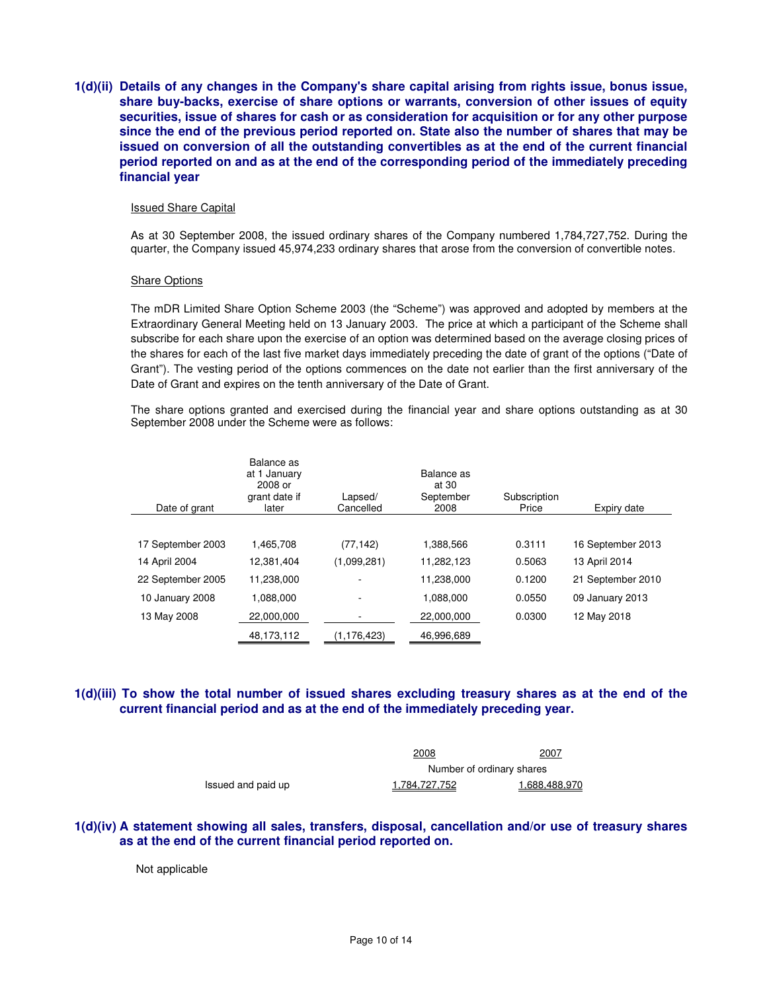**1(d)(ii) Details of any changes in the Company's share capital arising from rights issue, bonus issue, share buy-backs, exercise of share options or warrants, conversion of other issues of equity securities, issue of shares for cash or as consideration for acquisition or for any other purpose since the end of the previous period reported on. State also the number of shares that may be issued on conversion of all the outstanding convertibles as at the end of the current financial period reported on and as at the end of the corresponding period of the immediately preceding financial year** 

#### Issued Share Capital

As at 30 September 2008, the issued ordinary shares of the Company numbered 1,784,727,752. During the quarter, the Company issued 45,974,233 ordinary shares that arose from the conversion of convertible notes.

#### Share Options

The mDR Limited Share Option Scheme 2003 (the "Scheme") was approved and adopted by members at the Extraordinary General Meeting held on 13 January 2003. The price at which a participant of the Scheme shall subscribe for each share upon the exercise of an option was determined based on the average closing prices of the shares for each of the last five market days immediately preceding the date of grant of the options ("Date of Grant"). The vesting period of the options commences on the date not earlier than the first anniversary of the Date of Grant and expires on the tenth anniversary of the Date of Grant.

The share options granted and exercised during the financial year and share options outstanding as at 30 September 2008 under the Scheme were as follows:

| Date of grant     | Balance as<br>at 1 January<br>2008 or<br>grant date if<br>later | Lapsed/<br>Cancelled | Balance as<br>at 30<br>September<br>2008 | Subscription<br>Price | Expiry date       |
|-------------------|-----------------------------------------------------------------|----------------------|------------------------------------------|-----------------------|-------------------|
|                   |                                                                 |                      |                                          |                       |                   |
| 17 September 2003 | 1.465.708                                                       | (77, 142)            | 1.388.566                                | 0.3111                | 16 September 2013 |
| 14 April 2004     | 12.381.404                                                      | (1,099,281)          | 11.282.123                               | 0.5063                | 13 April 2014     |
| 22 September 2005 | 11.238.000                                                      |                      | 11,238,000                               | 0.1200                | 21 September 2010 |
| 10 January 2008   | 1.088.000                                                       |                      | 1.088.000                                | 0.0550                | 09 January 2013   |
| 13 May 2008       | 22,000,000                                                      |                      | 22,000,000                               | 0.0300                | 12 May 2018       |
|                   | 48,173,112                                                      | (1, 176, 423)        | 46,996,689                               |                       |                   |

## **1(d)(iii) To show the total number of issued shares excluding treasury shares as at the end of the current financial period and as at the end of the immediately preceding year.**

|                    | <u> 2008</u>         | 2007                      |  |  |
|--------------------|----------------------|---------------------------|--|--|
|                    |                      | Number of ordinary shares |  |  |
| Issued and paid up | <u>1.784.727.752</u> | 1.688.488.970             |  |  |

## **1(d)(iv) A statement showing all sales, transfers, disposal, cancellation and/or use of treasury shares as at the end of the current financial period reported on.**

Not applicable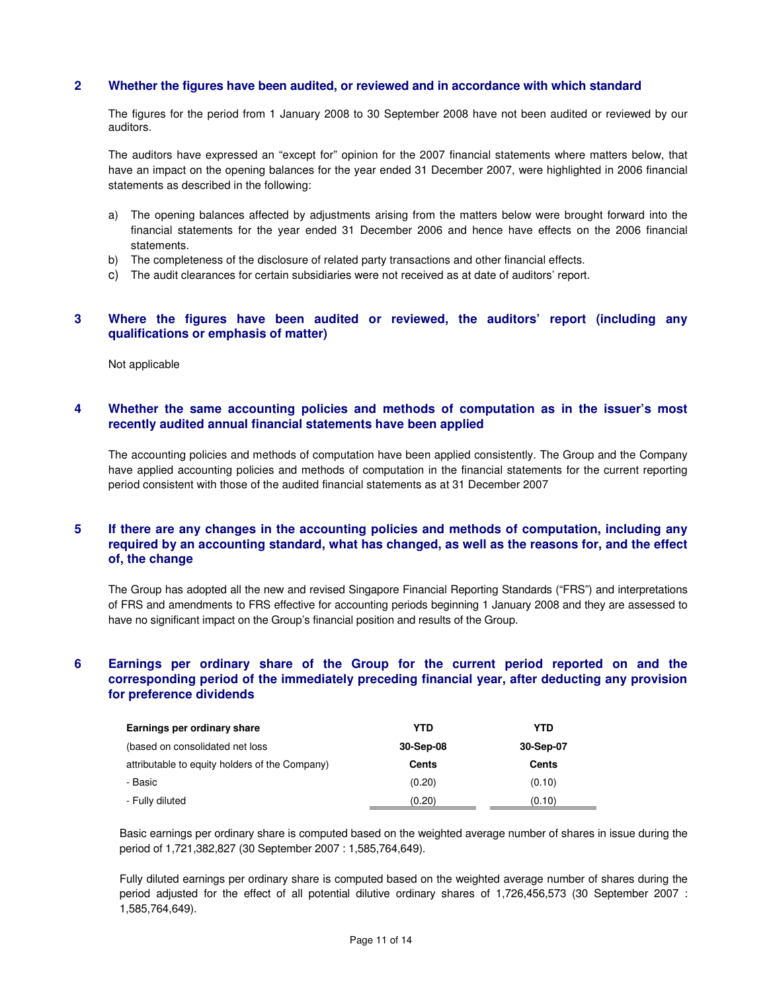## **2 Whether the figures have been audited, or reviewed and in accordance with which standard**

The figures for the period from 1 January 2008 to 30 September 2008 have not been audited or reviewed by our auditors.

The auditors have expressed an "except for" opinion for the 2007 financial statements where matters below, that have an impact on the opening balances for the year ended 31 December 2007, were highlighted in 2006 financial statements as described in the following:

- a) The opening balances affected by adjustments arising from the matters below were brought forward into the financial statements for the year ended 31 December 2006 and hence have effects on the 2006 financial statements.
- b) The completeness of the disclosure of related party transactions and other financial effects.
- c) The audit clearances for certain subsidiaries were not received as at date of auditors' report.

## **3 Where the figures have been audited or reviewed, the auditors' report (including any qualifications or emphasis of matter)**

Not applicable

## **4 Whether the same accounting policies and methods of computation as in the issuer's most recently audited annual financial statements have been applied**

The accounting policies and methods of computation have been applied consistently. The Group and the Company have applied accounting policies and methods of computation in the financial statements for the current reporting period consistent with those of the audited financial statements as at 31 December 2007

## **5 If there are any changes in the accounting policies and methods of computation, including any required by an accounting standard, what has changed, as well as the reasons for, and the effect of, the change**

The Group has adopted all the new and revised Singapore Financial Reporting Standards ("FRS") and interpretations of FRS and amendments to FRS effective for accounting periods beginning 1 January 2008 and they are assessed to have no significant impact on the Group's financial position and results of the Group.

# **6 Earnings per ordinary share of the Group for the current period reported on and the corresponding period of the immediately preceding financial year, after deducting any provision for preference dividends**

| Earnings per ordinary share                    | YTD       | YTD          |
|------------------------------------------------|-----------|--------------|
| (based on consolidated net loss)               | 30-Sep-08 | 30-Sep-07    |
| attributable to equity holders of the Company) | Cents     | <b>Cents</b> |
| - Basic                                        | (0.20)    | (0.10)       |
| - Fully diluted                                | (0.20)    | (0.10)       |

Basic earnings per ordinary share is computed based on the weighted average number of shares in issue during the period of 1,721,382,827 (30 September 2007 : 1,585,764,649).

Fully diluted earnings per ordinary share is computed based on the weighted average number of shares during the period adjusted for the effect of all potential dilutive ordinary shares of 1,726,456,573 (30 September 2007 : 1,585,764,649).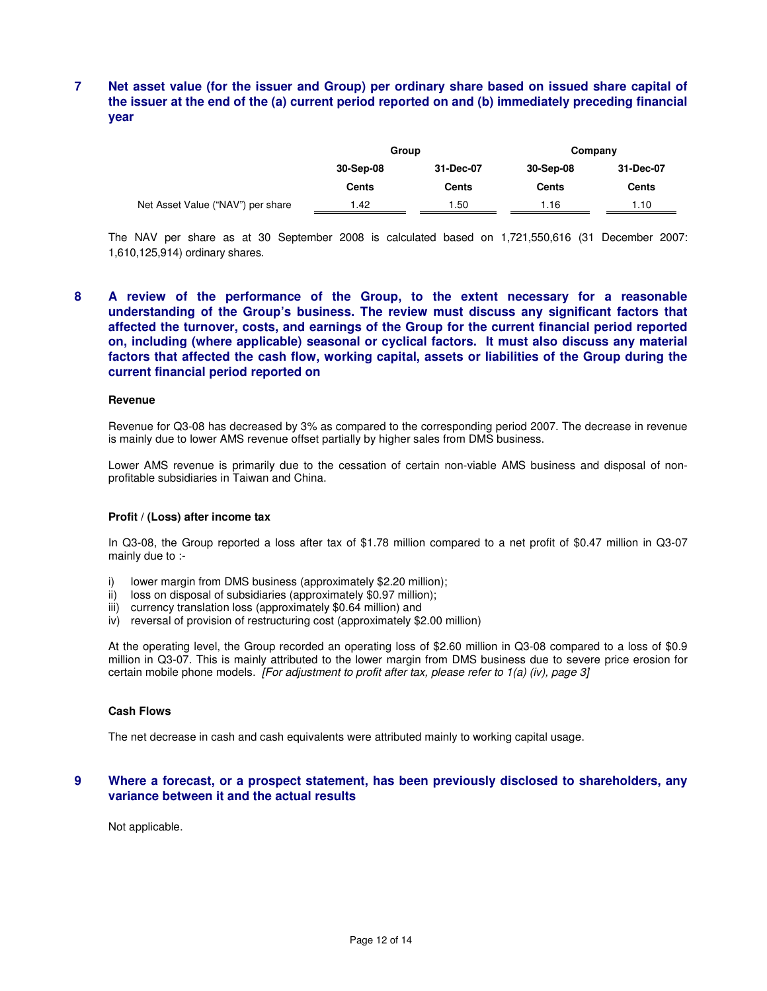# **7 Net asset value (for the issuer and Group) per ordinary share based on issued share capital of the issuer at the end of the (a) current period reported on and (b) immediately preceding financial year**

|                                   | Group     |           | Company      |           |  |
|-----------------------------------|-----------|-----------|--------------|-----------|--|
|                                   | 30-Sep-08 | 31-Dec-07 | 30-Sep-08    | 31-Dec-07 |  |
|                                   | Cents     | Cents     | <b>Cents</b> | Cents     |  |
| Net Asset Value ("NAV") per share | 1.42      | 1.50      | 1.16         | 1.10      |  |

The NAV per share as at 30 September 2008 is calculated based on 1,721,550,616 (31 December 2007: 1,610,125,914) ordinary shares.

**8 A review of the performance of the Group, to the extent necessary for a reasonable understanding of the Group's business. The review must discuss any significant factors that affected the turnover, costs, and earnings of the Group for the current financial period reported on, including (where applicable) seasonal or cyclical factors. It must also discuss any material factors that affected the cash flow, working capital, assets or liabilities of the Group during the current financial period reported on** 

#### **Revenue**

Revenue for Q3-08 has decreased by 3% as compared to the corresponding period 2007. The decrease in revenue is mainly due to lower AMS revenue offset partially by higher sales from DMS business.

Lower AMS revenue is primarily due to the cessation of certain non-viable AMS business and disposal of nonprofitable subsidiaries in Taiwan and China.

#### **Profit / (Loss) after income tax**

In Q3-08, the Group reported a loss after tax of \$1.78 million compared to a net profit of \$0.47 million in Q3-07 mainly due to :-

- i) lower margin from DMS business (approximately \$2.20 million);
- ii) loss on disposal of subsidiaries (approximately \$0.97 million);
- iii) currency translation loss (approximately \$0.64 million) and
- iv) reversal of provision of restructuring cost (approximately \$2.00 million)

At the operating level, the Group recorded an operating loss of \$2.60 million in Q3-08 compared to a loss of \$0.9 million in Q3-07. This is mainly attributed to the lower margin from DMS business due to severe price erosion for certain mobile phone models. [For adjustment to profit after tax, please refer to 1(a) (iv), page 3]

#### **Cash Flows**

The net decrease in cash and cash equivalents were attributed mainly to working capital usage.

## **9 Where a forecast, or a prospect statement, has been previously disclosed to shareholders, any variance between it and the actual results**

Not applicable.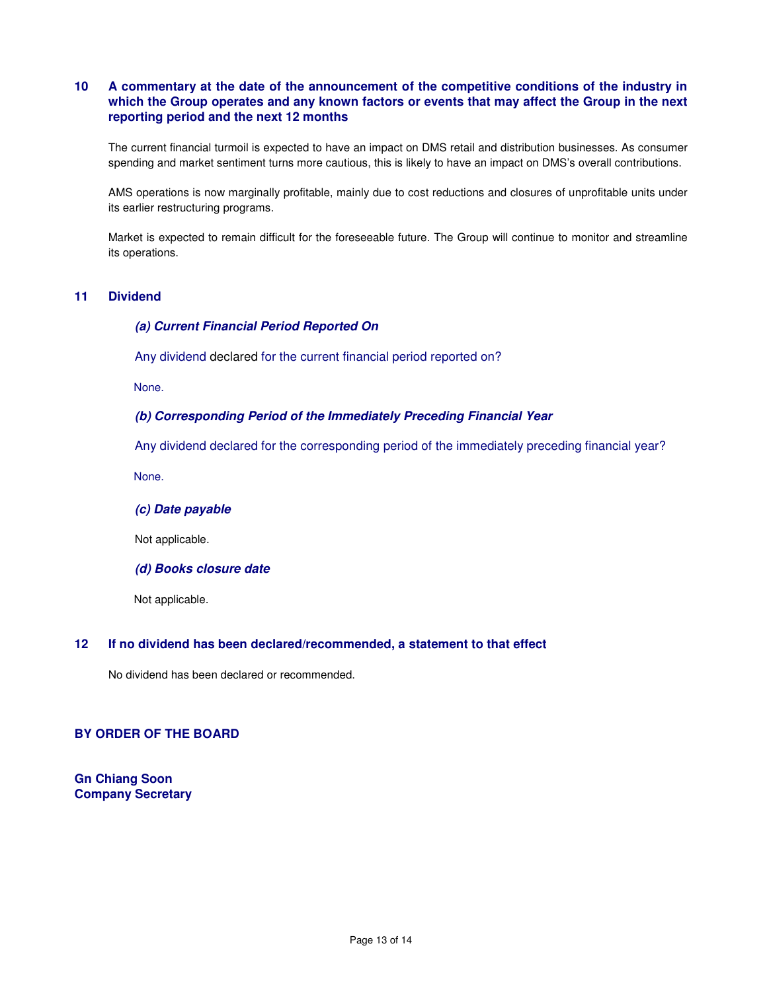# **10 A commentary at the date of the announcement of the competitive conditions of the industry in which the Group operates and any known factors or events that may affect the Group in the next reporting period and the next 12 months**

The current financial turmoil is expected to have an impact on DMS retail and distribution businesses. As consumer spending and market sentiment turns more cautious, this is likely to have an impact on DMS's overall contributions.

AMS operations is now marginally profitable, mainly due to cost reductions and closures of unprofitable units under its earlier restructuring programs.

Market is expected to remain difficult for the foreseeable future. The Group will continue to monitor and streamline its operations.

## **11 Dividend**

## **(a) Current Financial Period Reported On**

Any dividend declared for the current financial period reported on?

None.

## **(b) Corresponding Period of the Immediately Preceding Financial Year**

Any dividend declared for the corresponding period of the immediately preceding financial year?

None.

### **(c) Date payable**

Not applicable.

**(d) Books closure date** 

Not applicable.

## **12 If no dividend has been declared/recommended, a statement to that effect**

No dividend has been declared or recommended.

#### **BY ORDER OF THE BOARD**

**Gn Chiang Soon Company Secretary**